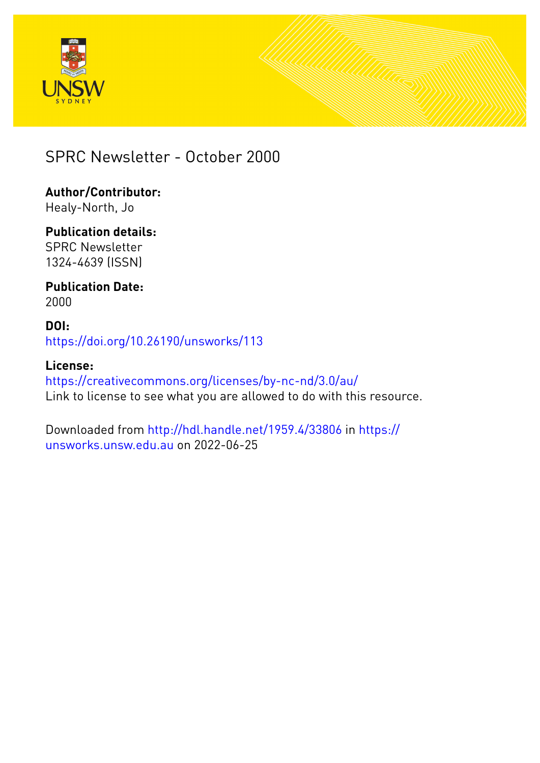



# SPRC Newsletter - October 2000

**Author/Contributor:** Healy-North, Jo

**Publication details:** SPRC Newsletter 1324-4639 (ISSN)

**Publication Date:** 2000

**DOI:** [https://doi.org/10.26190/unsworks/113](http://dx.doi.org/https://doi.org/10.26190/unsworks/113)

**License:** <https://creativecommons.org/licenses/by-nc-nd/3.0/au/> Link to license to see what you are allowed to do with this resource.

Downloaded from <http://hdl.handle.net/1959.4/33806> in [https://](https://unsworks.unsw.edu.au) [unsworks.unsw.edu.au](https://unsworks.unsw.edu.au) on 2022-06-25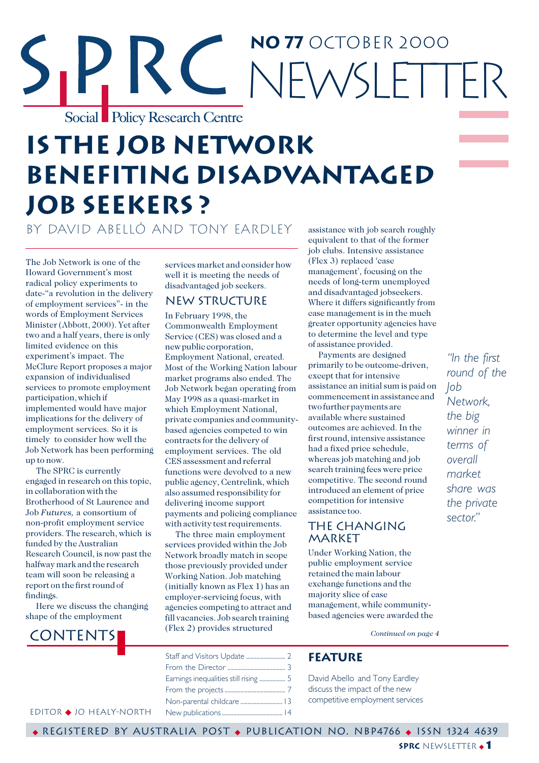# RC NOTOCTOBER 2000 NEWSI FTTER Social Policy Research Centre

# **is the job network benefiting disadvantageD job seekers ?**

by David AbellÓ and Tony Eardley

The Job Network is one of the Howard Government's most radical policy experiments to date-"a revolution in the delivery of employment services"- in the words of Employment Services Minister (Abbott, 2000). Yet after two and a half years, there is only limited evidence on this experiment's impact. The McClure Report proposes a major expansion of individualised services to promote employment participation, which if implemented would have major implications for the delivery of employment services. So it is timely to consider how well the Job Network has been performing up to now.

The SPRC is currently engaged in research on this topic, in collaboration with the Brotherhood of St Laurence and Job *Futures,* a consortium of non-profit employment service providers. The research, which is funded by the Australian Research Council, is now past the halfway mark and the research team will soon be releasing a report on the first round of findings.

Here we discuss the changing shape of the employment

# **CONTENTS**

services market and consider how well it is meeting the needs of disadvantaged job seekers.

# **NEW STRUCTURE**

In February 1998, the Commonwealth Employment Service (CES) was closed and a new public corporation, Employment National, created. Most of the Working Nation labour market programs also ended. The Job Network began operating from May 1998 as a quasi-market in which Employment National, private companies and communitybased agencies competed to win contracts for the delivery of employment services. The old CES assessment and referral functions were devolved to a new public agency, Centrelink, which also assumed responsibility for delivering income support payments and policing compliance with activity test requirements.

The three main employment services provided within the Job Network broadly match in scope those previously provided under Working Nation. Job matching (initially known as Flex 1) has an employer-servicing focus, with agencies competing to attract and fill vacancies. Job search training (Flex 2) provides structured

assistance with job search roughly equivalent to that of the former job clubs. Intensive assistance (Flex 3) replaced 'case management', focusing on the needs of long-term unemployed and disadvantaged jobseekers. Where it differs significantly from case management is in the much greater opportunity agencies have to determine the level and type of assistance provided.

Payments are designed primarily to be outcome-driven, except that for intensive assistance an initial sum is paid on commencement in assistance and two further payments are available where sustained outcomes are achieved. In the first round, intensive assistance had a fixed price schedule, whereas job matching and job search training fees were price competitive. The second round introduced an element of price competition for intensive assistance too.

# The Changing **MARKET**

Under Working Nation, the public employment service retained the main labour exchange functions and the majority slice of case management, while communitybased agencies were awarded the

*Continued on page 4*

# **Feature**

David Abello and Tony Eardley discuss the impact of the new competitive employment services

*"In the first round of the Job Network, the big winner in terms of overall market share was the private sector."*

Editor ◆ Jo healy-north

◆ Registered by Australia Post ◆ Publication No. NBP4766 ◆ ISSN 1324 4639

**sprc** newsletter ◆ **1**

Staff and Visitors Update ........................... 2 From the Director ........................................ 3 Earnings inequalities still rising .................. 5 From the projects .......................................... 7 Non-parental childcare .............................13 New publications ..........................................14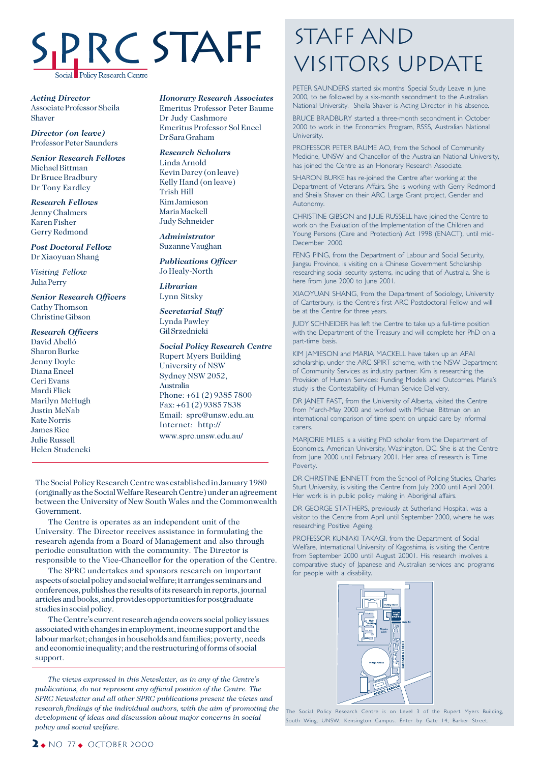# SPRC STAFF **Policy Research Centre**

*Acting Director* Associate Professor Sheila Shaver

*Director (on leave)* Professor Peter Saunders

*Senior Research Fellows* Michael Bittman Dr Bruce Bradbury Dr Tony Eardley

*Research Fellows* Jenny Chalmers Karen Fisher Gerry Redmond

*Post Doctoral Fellow* Dr Xiaoyuan Shang

*Visiting Fellow* Julia Perry

*Senior Research Officers* Cathy Thomson Christine Gibson

*Research Officers*

David Abelló Sharon Burke Jenny Doyle Diana Encel Ceri Evans Mardi Flick Marilyn McHugh Justin McNab Kate Norris James Rice Julie Russell Helen Studencki

*Honorary Research Associates* Emeritus Professor Peter Baume Dr Judy Cashmore

Emeritus Professor Sol Encel Dr Sara Graham

*Research Scholars* Linda Arnold Kevin Darcy (on leave) Kelly Hand (on leave) Trish Hill Kim Jamieson Maria Mackell Judy Schneider

*Administrator* Suzanne Vaughan

*Publications Officer* Jo Healy-North

*Librarian* Lynn Sitsky

*Secretarial Staff* Lynda Pawley Gil Srzednicki

### *Social Policy Research Centre*

Rupert Myers Building University of NSW Sydney NSW 2052, Australia Phone: +61 (2) 9385 7800 Fax: +61 (2) 9385 7838 Email: sprc@unsw.edu.au Internet: http:// www.sprc.unsw.edu.au/

The Social Policy Research Centre was established in January 1980 (originally as the Social Welfare Research Centre) under an agreement between the University of New South Wales and the Commonwealth Government.

The Centre is operates as an independent unit of the University. The Director receives assistance in formulating the research agenda from a Board of Management and also through periodic consultation with the community. The Director is responsible to the Vice-Chancellor for the operation of the Centre.

The SPRC undertakes and sponsors research on important aspects of social policy and social welfare; it arranges seminars and conferences, publishes the results of its research in reports, journal articles and books, and provides opportunities for postgraduate studies in social policy.

The Centre's current research agenda covers social policy issues associated with changes in employment, income support and the labour market; changes in households and families; poverty, needs and economic inequality; and the restructuring of forms of social support.

*The views expressed in this Newsletter, as in any of the Centre's publications, do not represent any official position of the Centre. The SPRC Newsletter and all other SPRC publications present the views and research findings of the individual authors, with the aim of promoting the development of ideas and discussion about major concerns in social policy and social welfare.*

# **STAFF AND** Visitors Update

PETER SAUNDERS started six months' Special Study Leave in June 2000, to be followed by a six-month secondment to the Australian National University. Sheila Shaver is Acting Director in his absence.

BRUCE BRADBURY started a three-month secondment in October 2000 to work in the Economics Program, RSSS, Australian National University.

PROFESSOR PETER BAUME AO, from the School of Community Medicine, UNSW and Chancellor of the Australian National University, has joined the Centre as an Honorary Research Associate.

SHARON BURKE has re-joined the Centre after working at the Department of Veterans Affairs. She is working with Gerry Redmond and Sheila Shaver on their ARC Large Grant project, Gender and Autonomy.

CHRISTINE GIBSON and JULIE RUSSELL have joined the Centre to work on the Evaluation of the Implementation of the Children and Young Persons (Care and Protection) Act 1998 (ENACT), until mid-December 2000.

FENG PING, from the Department of Labour and Social Security, Jiangsu Province, is visiting on a Chinese Government Scholarship researching social security systems, including that of Australia. She is here from June 2000 to June 2001.

XIAOYUAN SHANG, from the Department of Sociology, University of Canterbury, is the Centre's first ARC Postdoctoral Fellow and will be at the Centre for three years.

JUDY SCHNEIDER has left the Centre to take up a full-time position with the Department of the Treasury and will complete her PhD on a part-time basis.

KIM JAMIESON and MARIA MACKELL have taken up an APAI scholarship, under the ARC SPIRT scheme, with the NSW Department of Community Services as industry partner. Kim is researching the Provision of Human Services: Funding Models and Outcomes. Maria's study is the Contestability of Human Service Delivery.

DR JANET FAST, from the University of Alberta, visited the Centre from March-May 2000 and worked with Michael Bittman on an international comparison of time spent on unpaid care by informal carers.

MARJORIE MILES is a visiting PhD scholar from the Department of Economics, American University, Washington, DC. She is at the Centre from June 2000 until February 2001. Her area of research is Time Poverty.

DR CHRISTINE JENNETT from the School of Policing Studies, Charles Sturt University, is visiting the Centre from July 2000 until April 2001. Her work is in public policy making in Aboriginal affairs.

DR GEORGE STATHERS, previously at Sutherland Hospital, was a visitor to the Centre from April until September 2000, where he was researching Positive Ageing.

PROFESSOR KUNIAKI TAKAGI, from the Department of Social Welfare, International University of Kagoshima, is visiting the Centre from September 2000 until August 20001. His research involves a comparative study of Japanese and Australian services and programs for people with a disability.



The Social Policy Research Centre is on Level 3 of the Rupert Myers Building, South Wing, UNSW, Kensington Campus. Enter by Gate 14, Barker Street.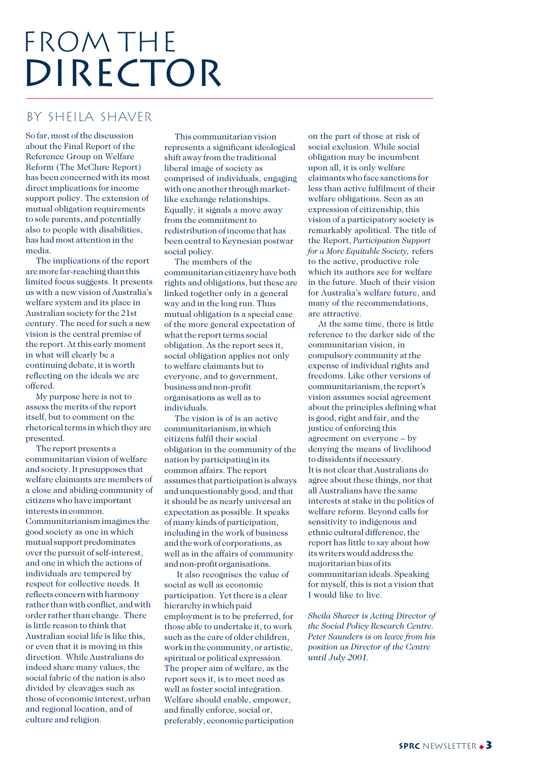# FROM THE DIRECTOR

# by sheila shaver

So far, most of the discussion about the Final Report of the Reference Group on Welfare Reform (The McClure Report) has been concerned with its most direct implications for income support policy. The extension of mutual obligation requirements to sole parents, and potentially also to people with disabilities, has had most attention in the media.

The implications of the report are more far-reaching than this limited focus suggests. It presents us with a new vision of Australia's welfare system and its place in Australian society for the 21st century. The need for such a new vision is the central premise of the report. At this early moment in what will clearly be a continuing debate, it is worth reflecting on the ideals we are offered.

My purpose here is not to assess the merits of the report itself, but to comment on the rhetorical terms in which they are presented.

The report presents a communitarian vision of welfare and society. It presupposes that welfare claimants are members of a close and abiding community of citizens who have important interests in common. Communitarianism imagines the good society as one in which mutual support predominates over the pursuit of self-interest, and one in which the actions of individuals are tempered by respect for collective needs. It reflects concern with harmony rather than with conflict, and with order rather than change. There is little reason to think that Australian social life is like this, or even that it is moving in this direction. While Australians do indeed share many values, the social fabric of the nation is also divided by cleavages such as those of economic interest, urban and regional location, and of culture and religion.

This communitarian vision represents a significant ideological shift away from the traditional liberal image of society as comprised of individuals, engaging with one another through marketlike exchange relationships. Equally, it signals a move away from the commitment to redistribution of income that has been central to Keynesian postwar social policy.

The members of the communitarian citizenry have both rights and obligations, but these are linked together only in a general way and in the long run. Thus mutual obligation is a special case of the more general expectation of what the report terms social obligation. As the report sees it, social obligation applies not only to welfare claimants but to everyone, and to government, business and non-profit organisations as well as to individuals.

The vision is of is an active communitarianism, in which citizens fulfil their social obligation in the community of the nation by participating in its common affairs. The report assumes that participation is always and unquestionably good, and that it should be as nearly universal an expectation as possible. It speaks of many kinds of participation, including in the work of business and the work of corporations, as well as in the affairs of community and non-profit organisations.

 It also recognises the value of social as well as economic participation. Yet there is a clear hierarchy in which paid employment is to be preferred, for those able to undertake it, to work such as the care of older children, work in the community, or artistic, spiritual or political expression. The proper aim of welfare, as the report sees it, is to meet need as well as foster social integration. Welfare should enable, empower, and finally enforce, social or, preferably, economic participation

on the part of those at risk of social exclusion. While social obligation may be incumbent upon all, it is only welfare claimants who face sanctions for less than active fulfilment of their welfare obligations. Seen as an expression of citizenship, this vision of a participatory society is remarkably apolitical. The title of the Report, *Participation Support for a More Equitable Society,* refers to the active, productive role which its authors see for welfare in the future. Much of their vision for Australia's welfare future, and many of the recommendations, are attractive.

At the same time, there is little reference to the darker side of the communitarian vision, in compulsory community at the expense of individual rights and freedoms. Like other versions of communitarianism, the report's vision assumes social agreement about the principles defining what is good, right and fair, and the justice of enforcing this agreement on everyone – by denying the means of livelihood to dissidents if necessary. It is not clear that Australians do agree about these things, nor that all Australians have the same interests at stake in the politics of welfare reform. Beyond calls for sensitivity to indigenous and ethnic cultural difference, the report has little to say about how its writers would address the majoritarian bias of its communitarian ideals. Speaking for myself, this is not a vision that I would like to live.

*Sheila Shaver is Acting Director of the Social Policy Research Centre. Peter Saunders is on leave from his position as Director of the Centre until July 2001.*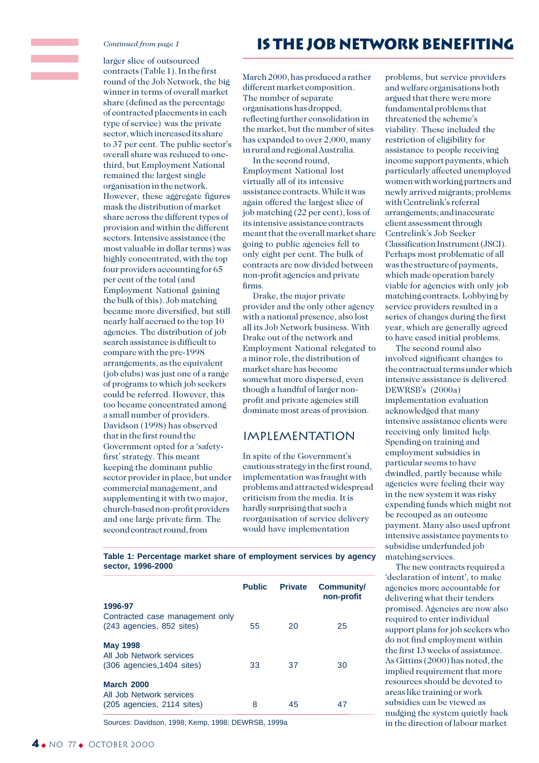#### *Continued from page 1*

larger slice of outsourced contracts (Table 1). In the first round of the Job Network, the big winner in terms of overall market share (defined as the percentage of contracted placements in each type of service) was the private sector, which increased its share to 37 per cent. The public sector's overall share was reduced to onethird, but Employment National remained the largest single organisation in the network. However, these aggregate figures mask the distribution of market share across the different types of provision and within the different sectors. Intensive assistance (the most valuable in dollar terms) was highly concentrated, with the top four providers accounting for 65 per cent of the total (and Employment National gaining the bulk of this). Job matching became more diversified, but still nearly half accrued to the top 10 agencies. The distribution of job search assistance is difficult to compare with the pre-1998 arrangements, as the equivalent (job clubs) was just one of a range of programs to which job seekers could be referred. However, this too became concentrated among a small number of providers. Davidson (1998) has observed that in the first round the Government opted for a 'safetyfirst' strategy. This meant keeping the dominant public sector provider in place, but under commercial management, and supplementing it with two major, church-based non-profit providers and one large private firm. The second contract round, from

# **is the job network benefiting**

March 2000, has produced a rather different market composition. The number of separate organisations has dropped, reflecting further consolidation in the market, but the number of sites has expanded to over 2,000, many in rural and regional Australia.

In the second round, Employment National lost virtually all of its intensive assistance contracts. While it was again offered the largest slice of job matching (22 per cent), loss of its intensive assistance contracts meant that the overall market share going to public agencies fell to only eight per cent. The bulk of contracts are now divided between non-profit agencies and private firms.

Drake, the major private provider and the only other agency with a national presence, also lost all its Job Network business. With Drake out of the network and Employment National relegated to a minor role, the distribution of market share has become somewhat more dispersed, even though a handful of larger nonprofit and private agencies still dominate most areas of provision.

## Implementation

In spite of the Government's cautious strategy in the first round, implementation was fraught with problems and attracted widespread criticism from the media. It is hardly surprising that such a reorganisation of service delivery would have implementation

problems, but service providers and welfare organisations both argued that there were more fundamental problems that threatened the scheme's viability. These included the restriction of eligibility for assistance to people receiving income support payments, which particularly affected unemployed women with working partners and newly arrived migrants; problems with Centrelink's referral arrangements; and inaccurate client assessment through Centrelink's Job Seeker Classification Instrument (JSCI). Perhaps most problematic of all was the structure of payments, which made operation barely viable for agencies with only job matching contracts. Lobbying by service providers resulted in a series of changes during the first year, which are generally agreed to have eased initial problems.

The second round also involved significant changes to the contractual terms under which intensive assistance is delivered. DEWRSB's (2000a) implementation evaluation acknowledged that many intensive assistance clients were receiving only limited help. Spending on training and employment subsidies in particular seems to have dwindled, partly because while agencies were feeling their way in the new system it was risky expending funds which might not be recouped as an outcome payment. Many also used upfront intensive assistance payments to subsidise underfunded job matching services.

The new contracts required a 'declaration of intent', to make agencies more accountable for delivering what their tenders promised. Agencies are now also required to enter individual support plans for job seekers who do not find employment within the first 13 weeks of assistance. As Gittins (2000) has noted, the implied requirement that more resources should be devoted to areas like training or work subsidies can be viewed as nudging the system quietly back in the direction of labour market

**Table 1: Percentage market share of employment services by agency sector, 1996-2000**

|                                                                               | <b>Public</b> | <b>Private</b> | <b>Community/</b><br>non-profit |
|-------------------------------------------------------------------------------|---------------|----------------|---------------------------------|
| 1996-97<br>Contracted case management only<br>(243 agencies, 852 sites)       | 55            | 20             | 25                              |
| <b>May 1998</b><br>All Job Network services<br>(306 agencies, 1404 sites)     | 33            | 37             | 30                              |
| <b>March 2000</b><br>All Job Network services<br>$(205$ agencies, 2114 sites) | 8             | 45             | 47                              |

Sources: Davidson, 1998; Kemp, 1998; DEWRSB, 1999a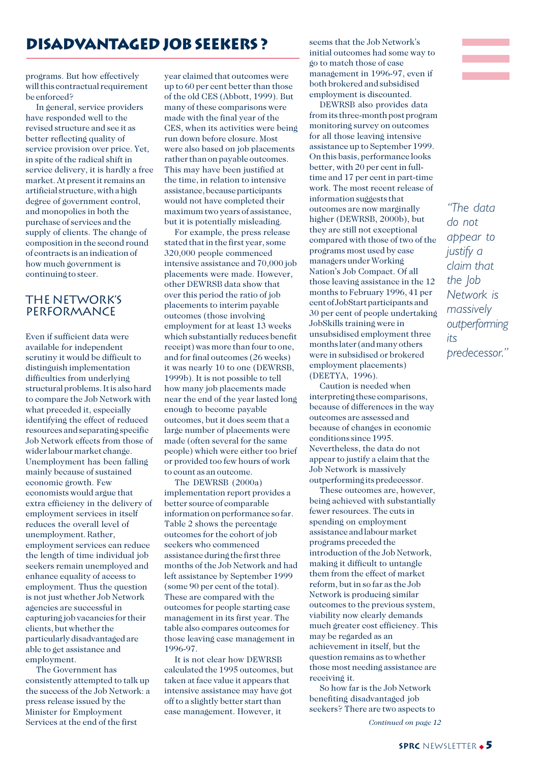# **disadvantageD job seekers ?**

programs. But how effectively will this contractual requirement be enforced?

In general, service providers have responded well to the revised structure and see it as better reflecting quality of service provision over price. Yet, in spite of the radical shift in service delivery, it is hardly a free market. At present it remains an artificial structure, with a high degree of government control, and monopolies in both the purchase of services and the supply of clients. The change of composition in the second round of contracts is an indication of how much government is continuing to steer.

### The Network's **PERFORMANCE**

Even if sufficient data were available for independent scrutiny it would be difficult to distinguish implementation difficulties from underlying structural problems. It is also hard to compare the Job Network with what preceded it, especially identifying the effect of reduced resources and separating specific Job Network effects from those of wider labour market change. Unemployment has been falling mainly because of sustained economic growth. Few economists would argue that extra efficiency in the delivery of employment services in itself reduces the overall level of unemployment. Rather, employment services can reduce the length of time individual job seekers remain unemployed and enhance equality of access to employment. Thus the question is not just whether Job Network agencies are successful in capturing job vacancies for their clients, but whether the particularly disadvantaged are able to get assistance and employment.

The Government has consistently attempted to talk up the success of the Job Network: a press release issued by the Minister for Employment Services at the end of the first

year claimed that outcomes were up to 60 per cent better than those of the old CES (Abbott, 1999). But many of these comparisons were made with the final year of the CES, when its activities were being run down before closure. Most were also based on job placements rather than on payable outcomes. This may have been justified at the time, in relation to intensive assistance, because participants would not have completed their maximum two years of assistance, but it is potentially misleading.

For example, the press release stated that in the first year, some 320,000 people commenced intensive assistance and 70,000 job placements were made. However, other DEWRSB data show that over this period the ratio of job placements to interim payable outcomes (those involving employment for at least 13 weeks which substantially reduces benefit receipt) was more than four to one, and for final outcomes (26 weeks) it was nearly 10 to one (DEWRSB, 1999b). It is not possible to tell how many job placements made near the end of the year lasted long enough to become payable outcomes, but it does seem that a large number of placements were made (often several for the same people) which were either too brief or provided too few hours of work to count as an outcome.

The DEWRSB (2000a) implementation report provides a better source of comparable information on performance so far. Table 2 shows the percentage outcomes for the cohort of job seekers who commenced assistance during the first three months of the Job Network and had left assistance by September 1999 (some 90 per cent of the total). These are compared with the outcomes for people starting case management in its first year. The table also compares outcomes for those leaving case management in 1996-97.

It is not clear how DEWRSB calculated the 1995 outcomes, but taken at face value it appears that intensive assistance may have got off to a slightly better start than case management. However, it

seems that the Job Network's initial outcomes had some way to go to match those of case management in 1996-97, even if both brokered and subsidised employment is discounted.

DEWRSB also provides data from its three-month post program monitoring survey on outcomes for all those leaving intensive assistance up to September 1999. On this basis, performance looks better, with 20 per cent in fulltime and 17 per cent in part-time work. The most recent release of information suggests that outcomes are now marginally higher (DEWRSB, 2000b), but they are still not exceptional compared with those of two of the programs most used by case managers under Working Nation's Job Compact. Of all those leaving assistance in the 12 months to February 1996, 41 per cent of JobStart participants and 30 per cent of people undertaking JobSkills training were in unsubsidised employment three months later (and many others were in subsidised or brokered employment placements) (DEETYA, 1996).

Caution is needed when interpreting these comparisons, because of differences in the way outcomes are assessed and because of changes in economic conditions since 1995. Nevertheless, the data do not appear to justify a claim that the Job Network is massively outperforming its predecessor.

These outcomes are, however, being achieved with substantially fewer resources. The cuts in spending on employment assistance and labour market programs preceded the introduction of the Job Network, making it difficult to untangle them from the effect of market reform, but in so far as the Job Network is producing similar outcomes to the previous system, viability now clearly demands much greater cost efficiency. This may be regarded as an achievement in itself, but the question remains as to whether those most needing assistance are receiving it.

So how far is the Job Network benefiting disadvantaged job seekers? There are two aspects to





*"The data do not appear to justify a claim that the Job Network is massively outperforming its predecessor."*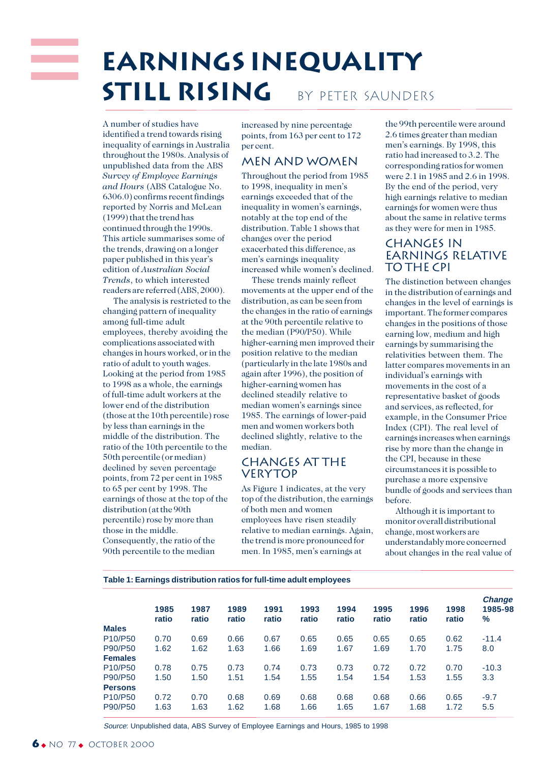# **Earnings inequality STILL RISING** BY PETER SAUNDERS

A number of studies have identified a trend towards rising inequality of earnings in Australia throughout the 1980s. Analysis of unpublished data from the ABS *Survey of Employee Earnings and Hours* (ABS Catalogue No. 6306.0) confirms recent findings reported by Norris and McLean (1999) that the trend has continued through the 1990s. This article summarises some of the trends, drawing on a longer paper published in this year's edition of *Australian Social Trends*, to which interested readers are referred (ABS, 2000).

The analysis is restricted to the changing pattern of inequality among full-time adult employees, thereby avoiding the complications associated with changes in hours worked, or in the ratio of adult to youth wages. Looking at the period from 1985 to 1998 as a whole, the earnings of full-time adult workers at the lower end of the distribution (those at the 10th percentile) rose by less than earnings in the middle of the distribution. The ratio of the 10th percentile to the 50th percentile (or median) declined by seven percentage points, from 72 per cent in 1985 to 65 per cent by 1998. The earnings of those at the top of the distribution (at the 90th percentile) rose by more than those in the middle. Consequently, the ratio of the 90th percentile to the median

increased by nine percentage points, from 163 per cent to 172 per cent.

## Men and women

Throughout the period from 1985 to 1998, inequality in men's earnings exceeded that of the inequality in women's earnings, notably at the top end of the distribution. Table 1 shows that changes over the period exacerbated this difference, as men's earnings inequality increased while women's declined.

These trends mainly reflect movements at the upper end of the distribution, as can be seen from the changes in the ratio of earnings at the 90th percentile relative to the median (P90/P50). While higher-earning men improved their position relative to the median (particularly in the late 1980s and again after 1996), the position of higher-earning women has declined steadily relative to median women's earnings since 1985. The earnings of lower-paid men and women workers both declined slightly, relative to the median.

# Changes at the **VERYTOP**

As Figure 1 indicates, at the very top of the distribution, the earnings of both men and women employees have risen steadily relative to median earnings. Again, the trend is more pronounced for men. In 1985, men's earnings at

the 99th percentile were around 2.6 times greater than median men's earnings. By 1998, this ratio had increased to 3.2. The corresponding ratios for women were 2.1 in 1985 and 2.6 in 1998. By the end of the period, very high earnings relative to median earnings for women were thus about the same in relative terms as they were for men in 1985.

### Changes in earnings relative to the CPI

The distinction between changes in the distribution of earnings and changes in the level of earnings is important. The former compares changes in the positions of those earning low, medium and high earnings by summarising the relativities between them. The latter compares movements in an individual's earnings with movements in the cost of a representative basket of goods and services, as reflected, for example, in the Consumer Price Index (CPI). The real level of earnings increases when earnings rise by more than the change in the CPI, because in these circumstances it is possible to purchase a more expensive bundle of goods and services than before.

Although it is important to monitor overall distributional change, most workers are understandably more concerned about changes in the real value of

|                                  | 1985<br>ratio | 1987<br>ratio | 1989<br>ratio | 1991<br>ratio | 1993<br>ratio | 1994<br>ratio | 1995<br>ratio | 1996<br>ratio | 1998<br>ratio | <b>Change</b><br>1985-98<br>% |
|----------------------------------|---------------|---------------|---------------|---------------|---------------|---------------|---------------|---------------|---------------|-------------------------------|
| <b>Males</b>                     |               |               |               |               |               |               |               |               |               |                               |
| P <sub>10</sub> /P <sub>50</sub> | 0.70          | 0.69          | 0.66          | 0.67          | 0.65          | 0.65          | 0.65          | 0.65          | 0.62          | $-11.4$                       |
| P90/P50                          | 1.62          | 1.62          | 1.63          | 1.66          | 1.69          | 1.67          | 1.69          | 1.70          | 1.75          | 8.0                           |
| <b>Females</b>                   |               |               |               |               |               |               |               |               |               |                               |
| P <sub>10</sub> /P <sub>50</sub> | 0.78          | 0.75          | 0.73          | 0.74          | 0.73          | 0.73          | 0.72          | 0.72          | 0.70          | $-10.3$                       |
| P90/P50                          | 1.50          | 1.50          | 1.51          | 1.54          | 1.55          | 1.54          | 1.54          | 1.53          | 1.55          | 3.3                           |
| <b>Persons</b>                   |               |               |               |               |               |               |               |               |               |                               |
| P <sub>10</sub> /P <sub>50</sub> | 0.72          | 0.70          | 0.68          | 0.69          | 0.68          | 0.68          | 0.68          | 0.66          | 0.65          | $-9.7$                        |
| P90/P50                          | 1.63          | 1.63          | 1.62          | 1.68          | 1.66          | 1.65          | 1.67          | 1.68          | 1.72          | 5.5                           |

Source: Unpublished data, ABS Survey of Employee Earnings and Hours, 1985 to 1998

**Table 1: Earnings distribution ratios for full-time adult employees**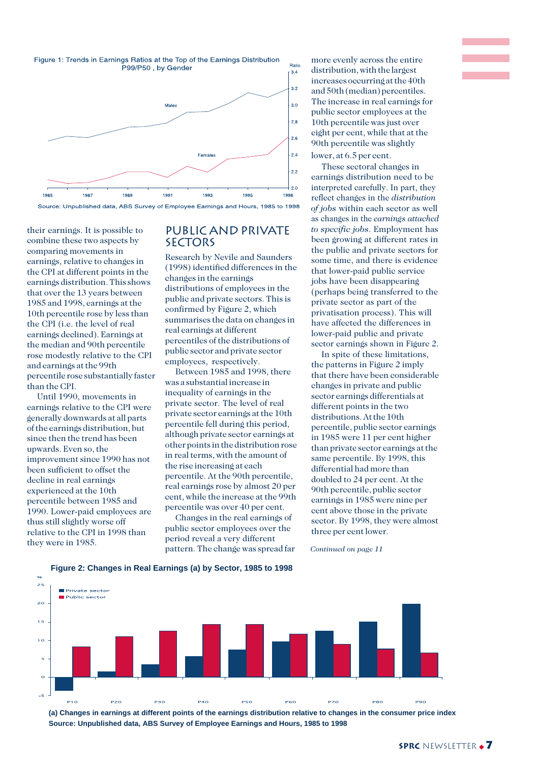

Source: Unpublished data, ABS Survey of Employee Earnings and Hours, 1985 to 1998

their earnings. It is possible to combine these two aspects by comparing movements in earnings, relative to changes in the CPI at different points in the earnings distribution. This shows that over the 13 years between 1985 and 1998, earnings at the 10th percentile rose by less than the CPI (i.e. the level of real earnings declined). Earnings at the median and 90th percentile rose modestly relative to the CPI and earnings at the 99th percentile rose substantially faster than the CPI.

Until 1990, movements in earnings relative to the CPI were generally downwards at all parts of the earnings distribution, but since then the trend has been upwards. Even so, the improvement since 1990 has not been sufficient to offset the decline in real earnings experienced at the 10th percentile between 1985 and 1990. Lower-paid employees are thus still slightly worse off relative to the CPI in 1998 than they were in 1985.

#### Public and private **SECTORS**

Research by Nevile and Saunders (1998) identified differences in the changes in the earnings distributions of employees in the public and private sectors. This is confirmed by Figure 2, which summarises the data on changes in real earnings at different percentiles of the distributions of public sector and private sector employees, respectively.

Between 1985 and 1998, there was a substantial increase in inequality of earnings in the private sector. The level of real private sector earnings at the 10th percentile fell during this period, although private sector earnings at other points in the distribution rose in real terms, with the amount of the rise increasing at each percentile. At the 90th percentile, real earnings rose by almost 20 per cent, while the increase at the 99th percentile was over 40 per cent.

Changes in the real earnings of public sector employees over the period reveal a very different pattern. The change was spread far

**Figure 2: Changes in Real Earnings (a) by Sector, 1985 to 1998**

more evenly across the entire distribution, with the largest increases occurring at the 40th and 50th (median) percentiles. The increase in real earnings for public sector employees at the 10th percentile was just over eight per cent, while that at the 90th percentile was slightly lower, at 6.5 per cent.

These sectoral changes in earnings distribution need to be interpreted carefully. In part, they reflect changes in the *distribution of jobs* within each sector as well as changes in the *earnings attached to specific jobs*. Employment has been growing at different rates in the public and private sectors for some time, and there is evidence that lower-paid public service jobs have been disappearing (perhaps being transferred to the private sector as part of the privatisation process). This will have affected the differences in lower-paid public and private sector earnings shown in Figure 2.

In spite of these limitations, the patterns in Figure 2 imply that there have been considerable changes in private and public sector earnings differentials at different points in the two distributions. At the 10th percentile, public sector earnings in 1985 were 11 per cent higher than private sector earnings at the same percentile. By 1998, this differential had more than doubled to 24 per cent. At the 90th percentile, public sector earnings in 1985 were nine per cent above those in the private sector. By 1998, they were almost three per cent lower.

*Continued on page 11*



**(a) Changes in earnings at different points of the earnings distribution relative to changes in the consumer price index Source: Unpublished data, ABS Survey of Employee Earnings and Hours, 1985 to 1998**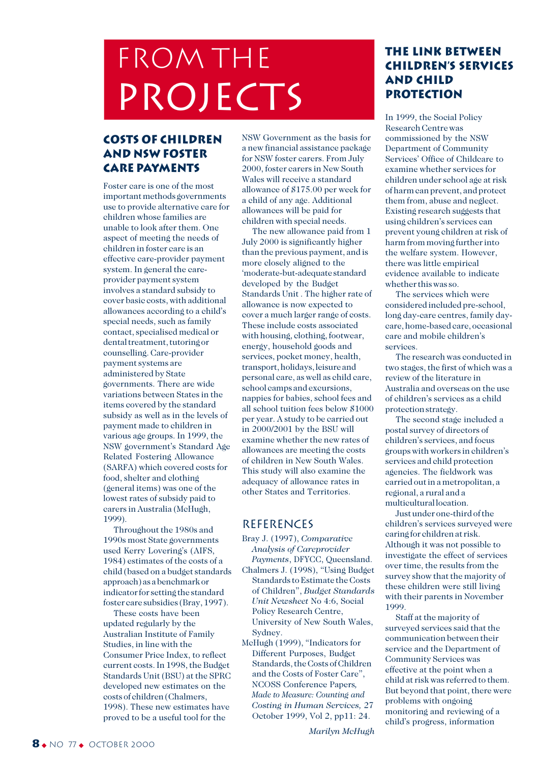# FROM THE PROJECTS

# **costs of children and NSW foster care payments**

Foster care is one of the most important methods governments use to provide alternative care for children whose families are unable to look after them. One aspect of meeting the needs of children in foster care is an effective care-provider payment system. In general the careprovider payment system involves a standard subsidy to cover basic costs, with additional allowances according to a child's special needs, such as family contact, specialised medical or dental treatment, tutoring or counselling. Care-provider payment systems are administered by State governments. There are wide variations between States in the items covered by the standard subsidy as well as in the levels of payment made to children in various age groups. In 1999, the NSW government's Standard Age Related Fostering Allowance (SARFA) which covered costs for food, shelter and clothing (general items) was one of the lowest rates of subsidy paid to carers in Australia (McHugh, 1999).

Throughout the 1980s and 1990s most State governments used Kerry Lovering's (AIFS, 1984) estimates of the costs of a child (based on a budget standards approach) as a benchmark or indicator for setting the standard foster care subsidies (Bray, 1997).

These costs have been updated regularly by the Australian Institute of Family Studies, in line with the Consumer Price Index, to reflect current costs. In 1998, the Budget Standards Unit (BSU) at the SPRC developed new estimates on the costs of children (Chalmers, 1998). These new estimates have proved to be a useful tool for the

NSW Government as the basis for a new financial assistance package for NSW foster carers. From July 2000, foster carers in New South Wales will receive a standard allowance of \$175.00 per week for a child of any age. Additional allowances will be paid for children with special needs.

The new allowance paid from 1 July 2000 is significantly higher than the previous payment, and is more closely aligned to the 'moderate-but-adequate standard developed by the Budget Standards Unit . The higher rate of allowance is now expected to cover a much larger range of costs. These include costs associated with housing, clothing, footwear, energy, household goods and services, pocket money, health, transport, holidays, leisure and personal care, as well as child care, school camps and excursions, nappies for babies, school fees and all school tuition fees below \$1000 per year. A study to be carried out in 2000/2001 by the BSU will examine whether the new rates of allowances are meeting the costs of children in New South Wales. This study will also examine the adequacy of allowance rates in other States and Territories.

# **REFERENCES**

- Bray J. (1997), *Comparative Analysis of Careprovider Payments*, DFYCC, Queensland.
- Chalmers J. (1998), "Using Budget Standards to Estimate the Costs of Children", *Budget Standards Unit Newsheet* No 4:6, Social Policy Research Centre, University of New South Wales, Sydney.
- McHugh (1999), "Indicators for Different Purposes, Budget Standards, the Costs of Children and the Costs of Foster Care", NCOSS Conference Papers*, Made to Measure: Counting and Costing in Human Services,* 27 October 1999, Vol 2, pp11: 24.

**The link between children's services and child protection**

In 1999, the Social Policy Research Centre was commissioned by the NSW Department of Community Services' Office of Childcare to examine whether services for children under school age at risk of harm can prevent, and protect them from, abuse and neglect. Existing research suggests that using children's services can prevent young children at risk of harm from moving further into the welfare system. However, there was little empirical evidence available to indicate whether this was so.

The services which were considered included pre-school, long day-care centres, family daycare, home-based care, occasional care and mobile children's services.

The research was conducted in two stages, the first of which was a review of the literature in Australia and overseas on the use of children's services as a child protection strategy.

The second stage included a postal survey of directors of children's services, and focus groups with workers in children's services and child protection agencies. The fieldwork was carried out in a metropolitan, a regional, a rural and a multicultural location.

Just under one-third of the children's services surveyed were caring for children at risk. Although it was not possible to investigate the effect of services over time, the results from the survey show that the majority of these children were still living with their parents in November 1999.

Staff at the majority of surveyed services said that the communication between their service and the Department of Community Services was effective at the point when a child at risk was referred to them. But beyond that point, there were problems with ongoing monitoring and reviewing of a child's progress, information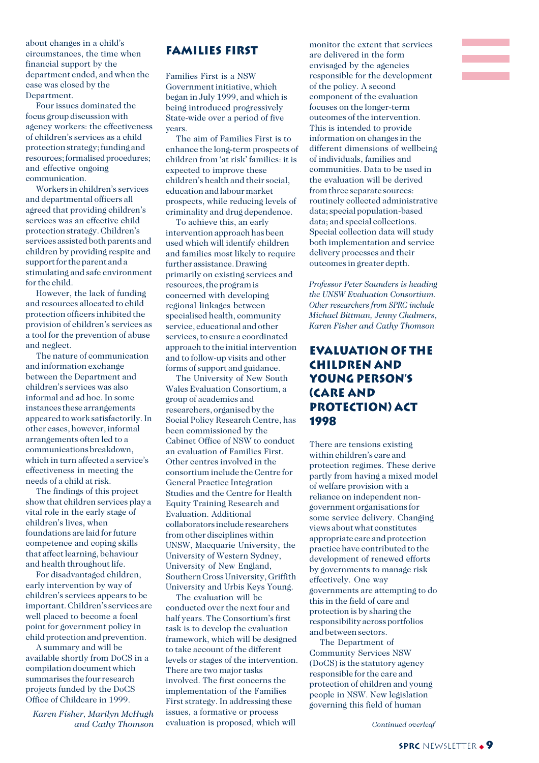about changes in a child's circumstances, the time when financial support by the department ended, and when the case was closed by the Department.

Four issues dominated the focus group discussion with agency workers: the effectiveness of children's services as a child protection strategy; funding and resources; formalised procedures; and effective ongoing communication.

Workers in children's services and departmental officers all agreed that providing children's services was an effective child protection strategy. Children's services assisted both parents and children by providing respite and support for the parent and a stimulating and safe environment for the child.

However, the lack of funding and resources allocated to child protection officers inhibited the provision of children's services as a tool for the prevention of abuse and neglect.

The nature of communication and information exchange between the Department and children's services was also informal and ad hoc. In some instances these arrangements appeared to work satisfactorily. In other cases, however, informal arrangements often led to a communications breakdown, which in turn affected a service's effectiveness in meeting the needs of a child at risk.

The findings of this project show that children services play a vital role in the early stage of children's lives, when foundations are laid for future competence and coping skills that affect learning, behaviour and health throughout life.

For disadvantaged children, early intervention by way of children's services appears to be important. Children's services are well placed to become a focal point for government policy in child protection and prevention.

A summary and will be available shortly from DoCS in a compilation document which summarises the four research projects funded by the DoCS Office of Childcare in 1999.

*Karen Fisher, Marilyn McHugh and Cathy Thomson*

# **Families first**

Families First is a NSW Government initiative, which began in July 1999, and which is being introduced progressively State-wide over a period of five years.

The aim of Families First is to enhance the long-term prospects of children from 'at risk' families: it is expected to improve these children's health and their social, education and labour market prospects, while reducing levels of criminality and drug dependence.

To achieve this, an early intervention approach has been used which will identify children and families most likely to require further assistance. Drawing primarily on existing services and resources, the program is concerned with developing regional linkages between specialised health, community service, educational and other services, to ensure a coordinated approach to the initial intervention and to follow-up visits and other forms of support and guidance.

The University of New South Wales Evaluation Consortium, a group of academics and researchers, organised by the Social Policy Research Centre, has been commissioned by the Cabinet Office of NSW to conduct an evaluation of Families First. Other centres involved in the consortium include the Centre for General Practice Integration Studies and the Centre for Health Equity Training Research and Evaluation. Additional collaborators include researchers from other disciplines within UNSW, Macquarie University, the University of Western Sydney, University of New England, Southern Cross University, Griffith University and Urbis Keys Young.

The evaluation will be conducted over the next four and half years. The Consortium's first task is to develop the evaluation framework, which will be designed to take account of the different levels or stages of the intervention. There are two major tasks involved. The first concerns the implementation of the Families First strategy. In addressing these issues, a formative or process evaluation is proposed, which will

monitor the extent that services are delivered in the form envisaged by the agencies responsible for the development of the policy. A second component of the evaluation focuses on the longer-term outcomes of the intervention. This is intended to provide information on changes in the different dimensions of wellbeing of individuals, families and communities. Data to be used in the evaluation will be derived from three separate sources: routinely collected administrative data; special population-based data; and special collections. Special collection data will study both implementation and service delivery processes and their outcomes in greater depth.

*Professor Peter Saunders is heading the UNSW Evaluation Consortium. Other researchers from SPRC include Michael Bittman, Jenny Chalmers, Karen Fisher and Cathy Thomson*

# **Evaluation of the Children and Young Person's (Care and Protection) Act 1998**

There are tensions existing within children's care and protection regimes. These derive partly from having a mixed model of welfare provision with a reliance on independent nongovernment organisations for some service delivery. Changing views about what constitutes appropriate care and protection practice have contributed to the development of renewed efforts by governments to manage risk effectively. One way governments are attempting to do this in the field of care and protection is by sharing the responsibility across portfolios and between sectors.

The Department of Community Services NSW (DoCS) is the statutory agency responsible for the care and protection of children and young people in NSW. New legislation governing this field of human

*Continued overleaf*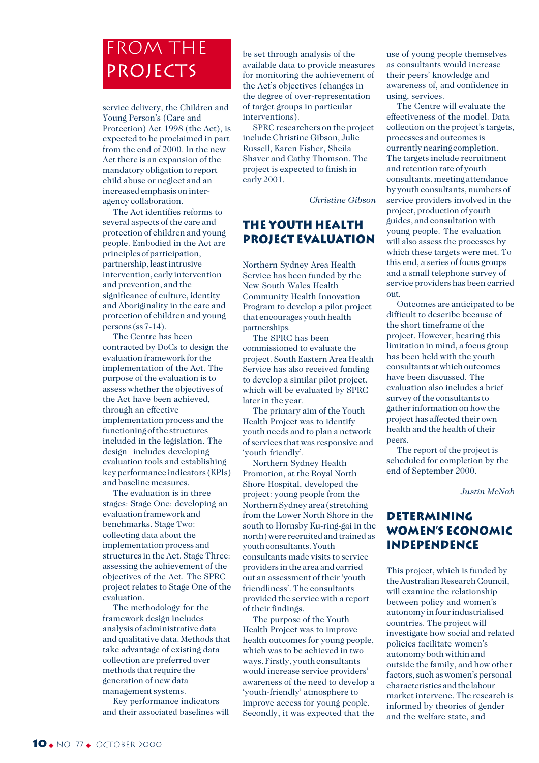# From the **PROJECTS**

service delivery, the Children and Young Person's (Care and Protection) Act 1998 (the Act), is expected to be proclaimed in part from the end of 2000. In the new Act there is an expansion of the mandatory obligation to report child abuse or neglect and an increased emphasis on interagency collaboration.

The Act identifies reforms to several aspects of the care and protection of children and young people. Embodied in the Act are principles of participation, partnership, least intrusive intervention, early intervention and prevention, and the significance of culture, identity and Aboriginality in the care and protection of children and young persons (ss 7-14).

The Centre has been contracted by DoCs to design the evaluation framework for the implementation of the Act. The purpose of the evaluation is to assess whether the objectives of the Act have been achieved, through an effective implementation process and the functioning of the structures included in the legislation. The design includes developing evaluation tools and establishing key performance indicators (KPIs) and baseline measures.

The evaluation is in three stages: Stage One: developing an evaluation framework and benchmarks. Stage Two: collecting data about the implementation process and structures in the Act. Stage Three: assessing the achievement of the objectives of the Act. The SPRC project relates to Stage One of the evaluation.

The methodology for the framework design includes analysis of administrative data and qualitative data. Methods that take advantage of existing data collection are preferred over methods that require the generation of new data management systems.

Key performance indicators and their associated baselines will be set through analysis of the available data to provide measures for monitoring the achievement of the Act's objectives (changes in the degree of over-representation of target groups in particular interventions).

SPRC researchers on the project include Christine Gibson, Julie Russell, Karen Fisher, Sheila Shaver and Cathy Thomson. The project is expected to finish in early 2001.

*Christine Gibson*

# **The youth health project evaluation**

Northern Sydney Area Health Service has been funded by the New South Wales Health Community Health Innovation Program to develop a pilot project that encourages youth health partnerships.

The SPRC has been commissioned to evaluate the project. South Eastern Area Health Service has also received funding to develop a similar pilot project, which will be evaluated by SPRC later in the year.

The primary aim of the Youth Health Project was to identify youth needs and to plan a network of services that was responsive and 'youth friendly'.

Northern Sydney Health Promotion, at the Royal North Shore Hospital, developed the project: young people from the Northern Sydney area (stretching from the Lower North Shore in the south to Hornsby Ku-ring-gai in the north) were recruited and trained as youth consultants. Youth consultants made visits to service providers in the area and carried out an assessment of their 'youth friendliness'. The consultants provided the service with a report of their findings.

The purpose of the Youth Health Project was to improve health outcomes for young people, which was to be achieved in two ways. Firstly, youth consultants would increase service providers' awareness of the need to develop a 'youth-friendly' atmosphere to improve access for young people. Secondly, it was expected that the use of young people themselves as consultants would increase their peers' knowledge and awareness of, and confidence in using, services.

The Centre will evaluate the effectiveness of the model. Data collection on the project's targets. processes and outcomes is currently nearing completion. The targets include recruitment and retention rate of youth consultants, meeting attendance by youth consultants, numbers of service providers involved in the project, production of youth guides, and consultation with young people. The evaluation will also assess the processes by which these targets were met. To this end, a series of focus groups and a small telephone survey of service providers has been carried out.

Outcomes are anticipated to be difficult to describe because of the short timeframe of the project. However, bearing this limitation in mind, a focus group has been held with the youth consultants at which outcomes have been discussed. The evaluation also includes a brief survey of the consultants to gather information on how the project has affected their own health and the health of their peers.

The report of the project is scheduled for completion by the end of September 2000.

*Justin McNab*

# **Determining women's economic independence**

This project, which is funded by the Australian Research Council, will examine the relationship between policy and women's autonomy in four industrialised countries. The project will investigate how social and related policies facilitate women's autonomy both within and outside the family, and how other factors, such as women's personal characteristics and the labour market intervene. The research is informed by theories of gender and the welfare state, and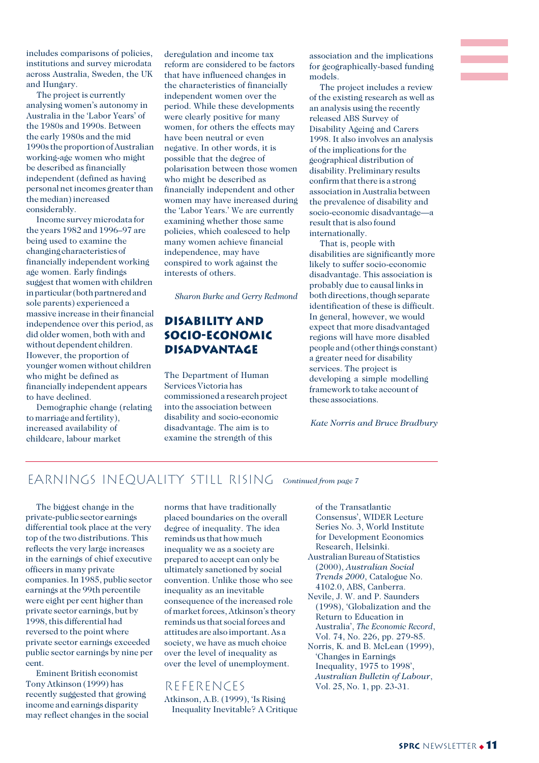includes comparisons of policies, institutions and survey microdata across Australia, Sweden, the UK and Hungary.

The project is currently analysing women's autonomy in Australia in the 'Labor Years' of the 1980s and 1990s. Between the early 1980s and the mid 1990s the proportion of Australian working-age women who might be described as financially independent (defined as having personal net incomes greater than the median) increased considerably.

Income survey microdata for the years 1982 and 1996–97 are being used to examine the changing characteristics of financially independent working age women. Early findings suggest that women with children in particular (both partnered and sole parents) experienced a massive increase in their financial independence over this period, as did older women, both with and without dependent children. However, the proportion of younger women without children who might be defined as financially independent appears to have declined.

Demographic change (relating to marriage and fertility), increased availability of childcare, labour market

deregulation and income tax reform are considered to be factors that have influenced changes in the characteristics of financially independent women over the period. While these developments were clearly positive for many women, for others the effects may have been neutral or even negative. In other words, it is possible that the degree of polarisation between those women who might be described as financially independent and other women may have increased during the 'Labor Years.' We are currently examining whether those same policies, which coalesced to help many women achieve financial independence, may have conspired to work against the interests of others.

*Sharon Burke and Gerry Redmond*

# **Disability and socio-economic disadvantage**

The Department of Human Services Victoria has commissioned a research project into the association between disability and socio-economic disadvantage. The aim is to examine the strength of this

association and the implications for geographically-based funding models.

The project includes a review of the existing research as well as an analysis using the recently released ABS Survey of Disability Ageing and Carers 1998. It also involves an analysis of the implications for the geographical distribution of disability. Preliminary results confirm that there is a strong association in Australia between the prevalence of disability and socio-economic disadvantage—a result that is also found internationally.

That is, people with disabilities are significantly more likely to suffer socio-economic disadvantage. This association is probably due to causal links in both directions, though separate identification of these is difficult. In general, however, we would expect that more disadvantaged regions will have more disabled people and (other things constant) a greater need for disability services. The project is developing a simple modelling framework to take account of these associations.

*Kate Norris and Bruce Bradbury*

# EARNINGS INEQUALITY STILL RISING *Continued from page 7*

The biggest change in the private-public sector earnings differential took place at the very top of the two distributions. This reflects the very large increases in the earnings of chief executive officers in many private companies. In 1985, public sector earnings at the 99th percentile were eight per cent higher than private sector earnings, but by 1998, this differential had reversed to the point where private sector earnings exceeded public sector earnings by nine per cent.

Eminent British economist Tony Atkinson (1999) has recently suggested that growing income and earnings disparity may reflect changes in the social norms that have traditionally placed boundaries on the overall degree of inequality. The idea reminds us that how much inequality we as a society are prepared to accept can only be ultimately sanctioned by social convention. Unlike those who see inequality as an inevitable consequence of the increased role of market forces, Atkinson's theory reminds us that social forces and attitudes are also important. As a society, we have as much choice over the level of inequality as over the level of unemployment.

**REFERENCES** Atkinson, A.B. (1999), 'Is Rising Inequality Inevitable? A Critique

- of the Transatlantic Consensus', WIDER Lecture Series No. 3, World Institute for Development Economics Research, Helsinki.
- Australian Bureau of Statistics (2000), *Australian Social Trends 2000*, Catalogue No. 4102.0, ABS, Canberra.
- Nevile, J. W. and P. Saunders (1998), 'Globalization and the Return to Education in Australia', *The Economic Record*, Vol. 74, No. 226, pp. 279-85.
- Norris, K. and B. McLean (1999), 'Changes in Earnings Inequality, 1975 to 1998', *Australian Bulletin of Labour*, Vol. 25, No. 1, pp. 23-31.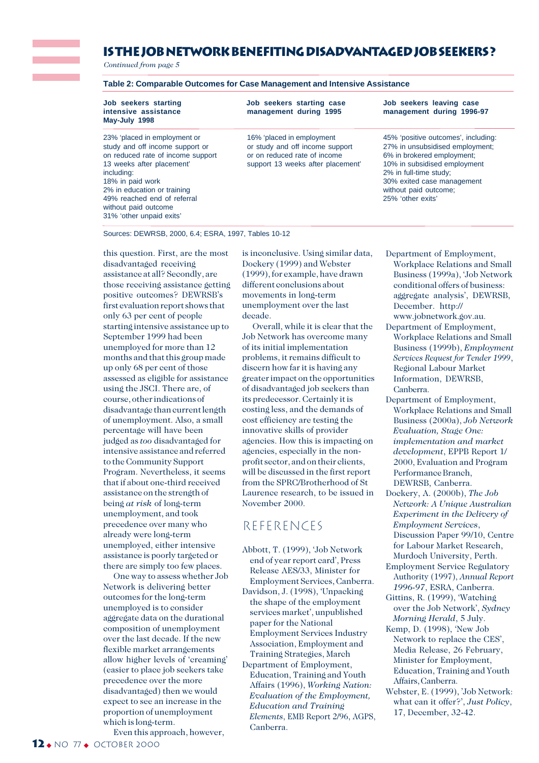# **is the job network benefiting disadvantageD job seekers ?**

*Continued from page 5*

| Table 2: Comparable Outcomes for Case Management and Intensive Assistance |  |  |
|---------------------------------------------------------------------------|--|--|
|---------------------------------------------------------------------------|--|--|

**May-July 1998**

on reduced rate of income support or on reduced rate of income 6% in brokered employment;<br>
13 weeks after placement' 10% in subsidised employment 13 weeks after placement' support 13 weeks after placement' including: 18% in paid work 30% exited case management 2% in education or training without paid outcome; 49% reached end of referral 25% 'other exits' without paid outcome 31% 'other unpaid exits'

**Job seekers starting Job seekers starting case Job seekers leaving case**

**intensive assistance management during 1995 management during 1996-97**

study and off income support or or study and off income support 27% in unsubsidised employment;<br>on reduced rate of income support or on reduced rate of income 6% in brokered employment;

23% 'placed in employment or 16% 'placed in employment 45% 'positive outcomes', including: 2% in full-time study;

Sources: DEWRSB, 2000, 6.4; ESRA, 1997, Tables 10-12

this question. First, are the most disadvantaged receiving assistance at all? Secondly, are those receiving assistance getting positive outcomes? DEWRSB's first evaluation report shows that only 63 per cent of people starting intensive assistance up to September 1999 had been unemployed for more than 12 months and that this group made up only 68 per cent of those assessed as eligible for assistance using the JSCI. There are, of course, other indications of disadvantage than current length of unemployment. Also, a small percentage will have been judged as *too* disadvantaged for intensive assistance and referred to the Community Support Program. Nevertheless, it seems that if about one-third received assistance on the strength of being *at risk* of long-term unemployment, and took precedence over many who already were long-term unemployed, either intensive assistance is poorly targeted or there are simply too few places.

One way to assess whether Job Network is delivering better outcomes for the long-term unemployed is to consider aggregate data on the durational composition of unemployment over the last decade. If the new flexible market arrangements allow higher levels of 'creaming' (easier to place job seekers take precedence over the more disadvantaged) then we would expect to see an increase in the proportion of unemployment which is long-term.

is inconclusive. Using similar data, Dockery (1999) and Webster (1999), for example, have drawn different conclusions about movements in long-term unemployment over the last decade.

Overall, while it is clear that the Job Network has overcome many of its initial implementation problems, it remains difficult to discern how far it is having any greater impact on the opportunities of disadvantaged job seekers than its predecessor. Certainly it is costing less, and the demands of cost efficiency are testing the innovative skills of provider agencies. How this is impacting on agencies, especially in the nonprofit sector, and on their clients, will be discussed in the first report from the SPRC/Brotherhood of St Laurence research, to be issued in November 2000.

# References

- Abbott, T. (1999), 'Job Network end of year report card', Press Release AES/33, Minister for Employment Services, Canberra.
- Davidson, J. (1998), 'Unpacking the shape of the employment services market', unpublished paper for the National Employment Services Industry Association, Employment and Training Strategies, March
- Department of Employment, Education, Training and Youth Affairs (1996), *Working Nation: Evaluation of the Employment, Education and Training Elements*, EMB Report 2/96, AGPS, Canberra.
- Department of Employment, Workplace Relations and Small Business (1999a), 'Job Network conditional offers of business: aggregate analysis', DEWRSB, December. http:// www.jobnetwork.gov.au.
- Department of Employment, Workplace Relations and Small Business (1999b), *Employment Services Request for Tender 1999*, Regional Labour Market Information, DEWRSB, Canberra.
- Department of Employment, Workplace Relations and Small Business (2000a), *Job Network Evaluation, Stage One: implementation and market development*, EPPB Report 1/ 2000, Evaluation and Program Performance Branch, DEWRSB, Canberra.
- Dockery, A. (2000b), *The Job Network: A Unique Australian Experiment in the Delivery of Employment Services*, Discussion Paper 99/10, Centre for Labour Market Research, Murdoch University, Perth.
- Employment Service Regulatory Authority (1997), *Annual Report 1996-97*, ESRA, Canberra.
- Gittins, R. (1999), 'Watching over the Job Network', *Sydney Morning Herald*, 5 July.
- Kemp, D. (1998), 'New Job Network to replace the CES', Media Release, 26 February, Minister for Employment, Education, Training and Youth Affairs, Canberra.
- Webster, E. (1999), 'Job Network: what can it offer?', *Just Policy*, 17, December, 32-42.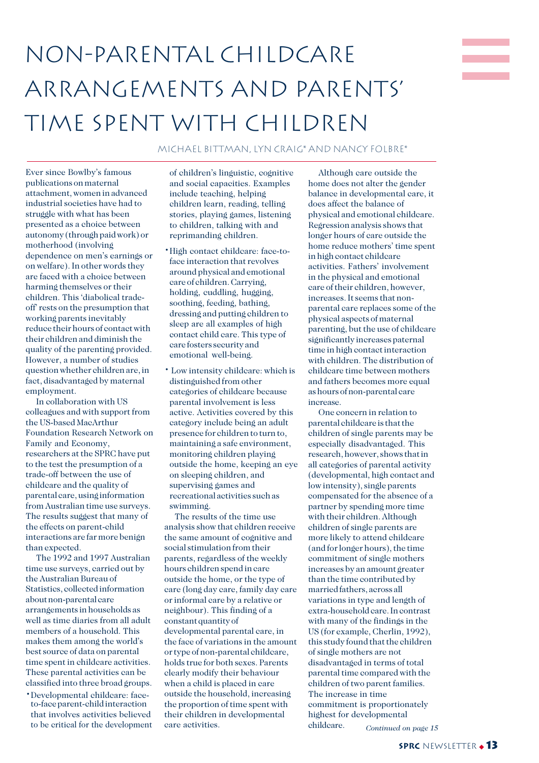# non-parental childcare arrangements and parents' time spent with children

Michael Bittman, Lyn Craig\* and Nancy Folbre\*

Ever since Bowlby's famous publications on maternal attachment, women in advanced industrial societies have had to struggle with what has been presented as a choice between autonomy (through paid work) or motherhood (involving dependence on men's earnings or on welfare). In other words they are faced with a choice between harming themselves or their children. This 'diabolical tradeoff' rests on the presumption that working parents inevitably reduce their hours of contact with their children and diminish the quality of the parenting provided. However, a number of studies question whether children are, in fact, disadvantaged by maternal employment.

In collaboration with US colleagues and with support from the US-based MacArthur Foundation Research Network on Family and Economy, researchers at the SPRC have put to the test the presumption of a trade-off between the use of childcare and the quality of parental care, using information from Australian time use surveys. The results suggest that many of the effects on parent-child interactions are far more benign than expected.

The 1992 and 1997 Australian time use surveys, carried out by the Australian Bureau of Statistics, collected information about non-parental care arrangements in households as well as time diaries from all adult members of a household. This makes them among the world's best source of data on parental time spent in childcare activities. These parental activities can be classified into three broad groups.

·Developmental childcare: faceto-face parent-child interaction that involves activities believed to be critical for the development of children's linguistic, cognitive and social capacities. Examples include teaching, helping children learn, reading, telling stories, playing games, listening to children, talking with and reprimanding children.

- ·High contact childcare: face-toface interaction that revolves around physical and emotional care of children. Carrying, holding, cuddling, hugging, soothing, feeding, bathing, dressing and putting children to sleep are all examples of high contact child care. This type of care fosters security and emotional well-being.
- · Low intensity childcare: which is distinguished from other categories of childcare because parental involvement is less active. Activities covered by this category include being an adult presence for children to turn to, maintaining a safe environment, monitoring children playing outside the home, keeping an eye on sleeping children, and supervising games and recreational activities such as swimming.

The results of the time use analysis show that children receive the same amount of cognitive and social stimulation from their parents, regardless of the weekly hours children spend in care outside the home, or the type of care (long day care, family day care or informal care by a relative or neighbour). This finding of a constant quantity of developmental parental care, in the face of variations in the amount or type of non-parental childcare, holds true for both sexes. Parents clearly modify their behaviour when a child is placed in care outside the household, increasing the proportion of time spent with their children in developmental care activities.

Although care outside the home does not alter the gender balance in developmental care, it does affect the balance of physical and emotional childcare. Regression analysis shows that longer hours of care outside the home reduce mothers' time spent in high contact childcare activities. Fathers' involvement in the physical and emotional care of their children, however, increases. It seems that nonparental care replaces some of the physical aspects of maternal parenting, but the use of childcare significantly increases paternal time in high contact interaction with children. The distribution of childcare time between mothers and fathers becomes more equal as hours of non-parental care increase.

One concern in relation to parental childcare is that the children of single parents may be especially disadvantaged. This research, however, shows that in all categories of parental activity (developmental, high contact and low intensity), single parents compensated for the absence of a partner by spending more time with their children. Although children of single parents are more likely to attend childcare (and for longer hours), the time commitment of single mothers increases by an amount greater than the time contributed by married fathers, across all variations in type and length of extra-household care. In contrast with many of the findings in the US (for example, Cherlin, 1992), this study found that the children of single mothers are not disadvantaged in terms of total parental time compared with the children of two parent families. The increase in time commitment is proportionately highest for developmental childcare. *Continued on page 15*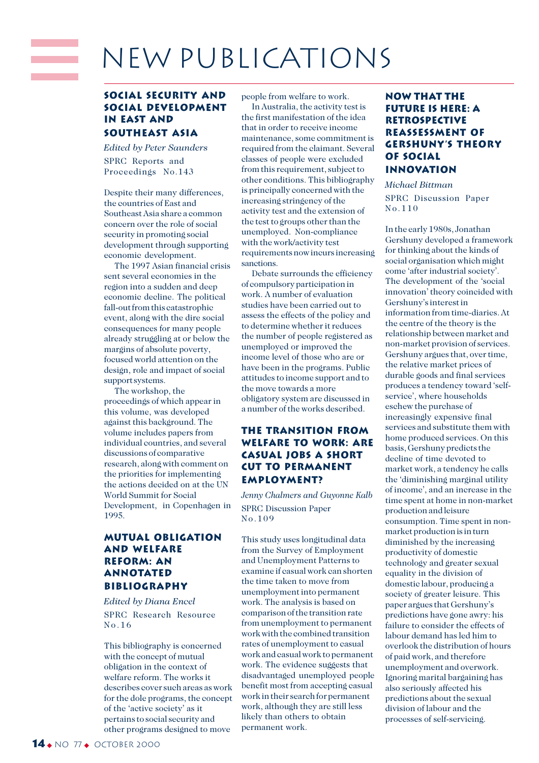# New Publications

### **Social Security and Social Development in East and Southeast Asia**

*Edited by Peter Saunders* SPRC Reports and Proceedings No.143

an an Dùbhlachd

Despite their many differences, the countries of East and Southeast Asia share a common concern over the role of social security in promoting social development through supporting economic development.

The 1997 Asian financial crisis sent several economies in the region into a sudden and deep economic decline. The political fall-out from this catastrophic event, along with the dire social consequences for many people already struggling at or below the margins of absolute poverty, focused world attention on the design, role and impact of social support systems.

The workshop, the proceedings of which appear in this volume, was developed against this background. The volume includes papers from individual countries, and several discussions of comparative research, along with comment on the priorities for implementing the actions decided on at the UN World Summit for Social Development, in Copenhagen in 1995.

## **Mutual Obligation and Welfare Reform: An Annotated Bibliography**

*Edited by Diana Encel* SPRC Research Resource No.16

This bibliography is concerned with the concept of mutual obligation in the context of welfare reform. The works it describes cover such areas as work for the dole programs, the concept of the 'active society' as it pertains to social security and other programs designed to move

people from welfare to work. In Australia, the activity test is the first manifestation of the idea that in order to receive income maintenance, some commitment is required from the claimant. Several classes of people were excluded from this requirement, subject to other conditions. This bibliography is principally concerned with the increasing stringency of the activity test and the extension of the test to groups other than the unemployed. Non-compliance with the work/activity test requirements now incurs increasing sanctions.

Debate surrounds the efficiency of compulsory participation in work. A number of evaluation studies have been carried out to assess the effects of the policy and to determine whether it reduces the number of people registered as unemployed or improved the income level of those who are or have been in the programs. Public attitudes to income support and to the move towards a more obligatory system are discussed in a number of the works described.

## **The transition from welfare to work: are casual jobs a short cut to permanent employment?**

*Jenny Chalmers and Guyonne Kalb* SPRC Discussion Paper No.109

This study uses longitudinal data from the Survey of Employment and Unemployment Patterns to examine if casual work can shorten the time taken to move from unemployment into permanent work. The analysis is based on comparison of the transition rate from unemployment to permanent work with the combined transition rates of unemployment to casual work and casual work to permanent work. The evidence suggests that disadvantaged unemployed people benefit most from accepting casual work in their search for permanent work, although they are still less likely than others to obtain permanent work.

### **Now that the future is here: a retrospective reassessment of Gershuny's Theory of Social Innovation**

*Michael Bittman* SPRC Discussion Paper No.110

In the early 1980s, Jonathan Gershuny developed a framework for thinking about the kinds of social organisation which might come 'after industrial society'. The development of the 'social innovation' theory coincided with Gershuny's interest in information from time-diaries. At the centre of the theory is the relationship between market and non-market provision of services. Gershuny argues that, over time, the relative market prices of durable goods and final services produces a tendency toward 'selfservice', where households eschew the purchase of increasingly expensive final services and substitute them with home produced services. On this basis, Gershuny predicts the decline of time devoted to market work, a tendency he calls the 'diminishing marginal utility of income', and an increase in the time spent at home in non-market production and leisure consumption. Time spent in nonmarket production is in turn diminished by the increasing productivity of domestic technology and greater sexual equality in the division of domestic labour, producing a society of greater leisure. This paper argues that Gershuny's predictions have gone awry: his failure to consider the effects of labour demand has led him to overlook the distribution of hours of paid work, and therefore unemployment and overwork. Ignoring marital bargaining has also seriously affected his predictions about the sexual division of labour and the processes of self-servicing.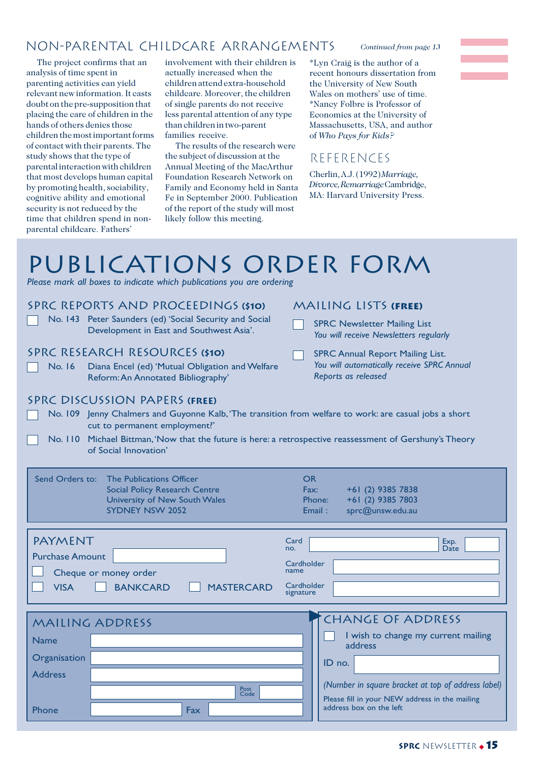# non-parental childcare arrangements

The project confirms that an analysis of time spent in parenting activities can yield relevant new information. It casts doubt on the pre-supposition that placing the care of children in the hands of others denies those children the most important forms of contact with their parents. The study shows that the type of parental interaction with children that most develops human capital by promoting health, sociability, cognitive ability and emotional security is not reduced by the time that children spend in nonparental childcare. Fathers'

involvement with their children is actually increased when the children attend extra-household childcare. Moreover, the children of single parents do not receive less parental attention of any type than children in two-parent families receive.

The results of the research were the subject of discussion at the Annual Meeting of the MacArthur Foundation Research Network on Family and Economy held in Santa Fe in September 2000. Publication of the report of the study will most likely follow this meeting.

#### *Continued from page 13*

\*Lyn Craig is the author of a recent honours dissertation from the University of New South Wales on mothers' use of time. \*Nancy Folbre is Professor of Economics at the University of Massachusetts, USA, and author of *Who Pays for Kids?*

# References

Cherlin, A.J. (1992) *Marriage, Divorce, Remarriage* Cambridge, MA: Harvard University Press.

# publications order form

*Please mark all boxes to indicate which publications you are ordering*

# SPRC Reports and Proceedings **(\$10)**

No. 143 Peter Saunders (ed) 'Social Security and Social Development in East and Southwest Asia'.

# SPRC Research Resources **(\$10)**

No. 16 Diana Encel (ed) 'Mutual Obligation and Welfare Reform:An Annotated Bibliography'

### Mailing Lists **(free)**

- SPRC Newsletter Mailing List *You will receive Newsletters regularly*
- SPRC Annual Report Mailing List. *You will automatically receive SPRC Annual Reports as released*

#### SPRC discussion Papers **(Free)**

- No. 109 Jenny Chalmers and Guyonne Kalb,'The transition from welfare to work: are casual jobs a short cut to permanent employment?'
- No. 110 Michael Bittman,'Now that the future is here: a retrospective reassessment of Gershuny's Theory of Social Innovation'

| Exp.<br>Date                                                                                                                                                                                 |
|----------------------------------------------------------------------------------------------------------------------------------------------------------------------------------------------|
| Cardholder<br>Cardholder<br>signature                                                                                                                                                        |
| <b>CHANGE OF ADDRESS</b><br>I wish to change my current mailing<br>address<br>ID no.<br>(Number in square bracket at top of address label)<br>Please fill in your NEW address in the mailing |
|                                                                                                                                                                                              |